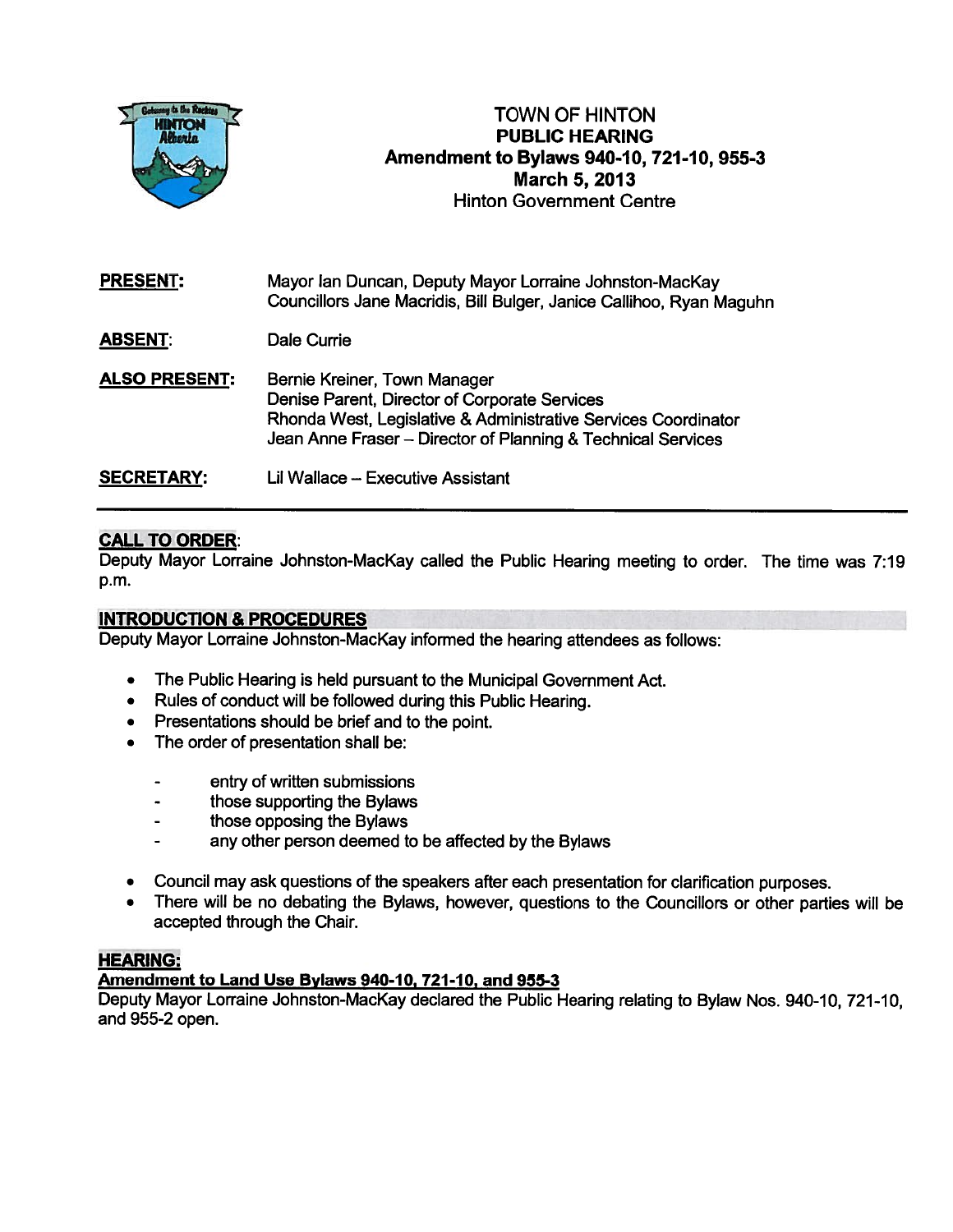

# TOWN OF HINTON PUBLIC HEARING Amendment to Bylaws 940-10, 721 -10, 955-3 March 5, 2013 Hinton Government Centre

PRESENT: Mayor Ian Duncan, Deputy Mayor Lorraine Johnston-MacKay Councillors Jane Macridis, Bill Bulger, Janice Callihoo, Ryan Maguhn

ABSENT: Dale Currie

ALSO PRESENT: Bernie Kreiner, Town Manager Denise Parent, Director of Corporate Services Rhonda West, Legislative & Administrative Services Coordinator Jean Anne Fraser — Director of Planning & Technical Services

SECRETARY: Lil Wallace — Executive Assistant

## CALL TO ORDER:

Deputy Mayor Lorraine Johnston-MacKay called the Public Hearing meeting to order. The time was 7:19 p.m.

### INTRODUCTION & PROCEDURES

Deputy Mayor Lorraine Johnston-MacKay informed the hearing attendees as follows:

- •The Public Hearing is held pursuan<sup>t</sup> to the Municipal Government Act.
- •Rules of conduct will be followed during this Public Hearing.
- Presentations should be brief and to the point.
- • The order of presentation shall be:
	- entry of written submissions
	- those supporting the Bylaws
	- those opposing the Bylaws
	- any other person deemed to be affected by the Bylaws
- •Council may ask questions of the speakers after each presentation for clarification purposes.
- • There will be no debating the Bylaws, however, questions to the Councillors or other parties will be accepted through the Chair.

#### HEARING:

### Amendment to Land Use Bylaws 940-10, 721-10, and 955-3

Deputy Mayor Lorraine Johnston-MacKay declared the Public Hearing relating to Bylaw Nos. 940-10, 721-10, and 955-2 open.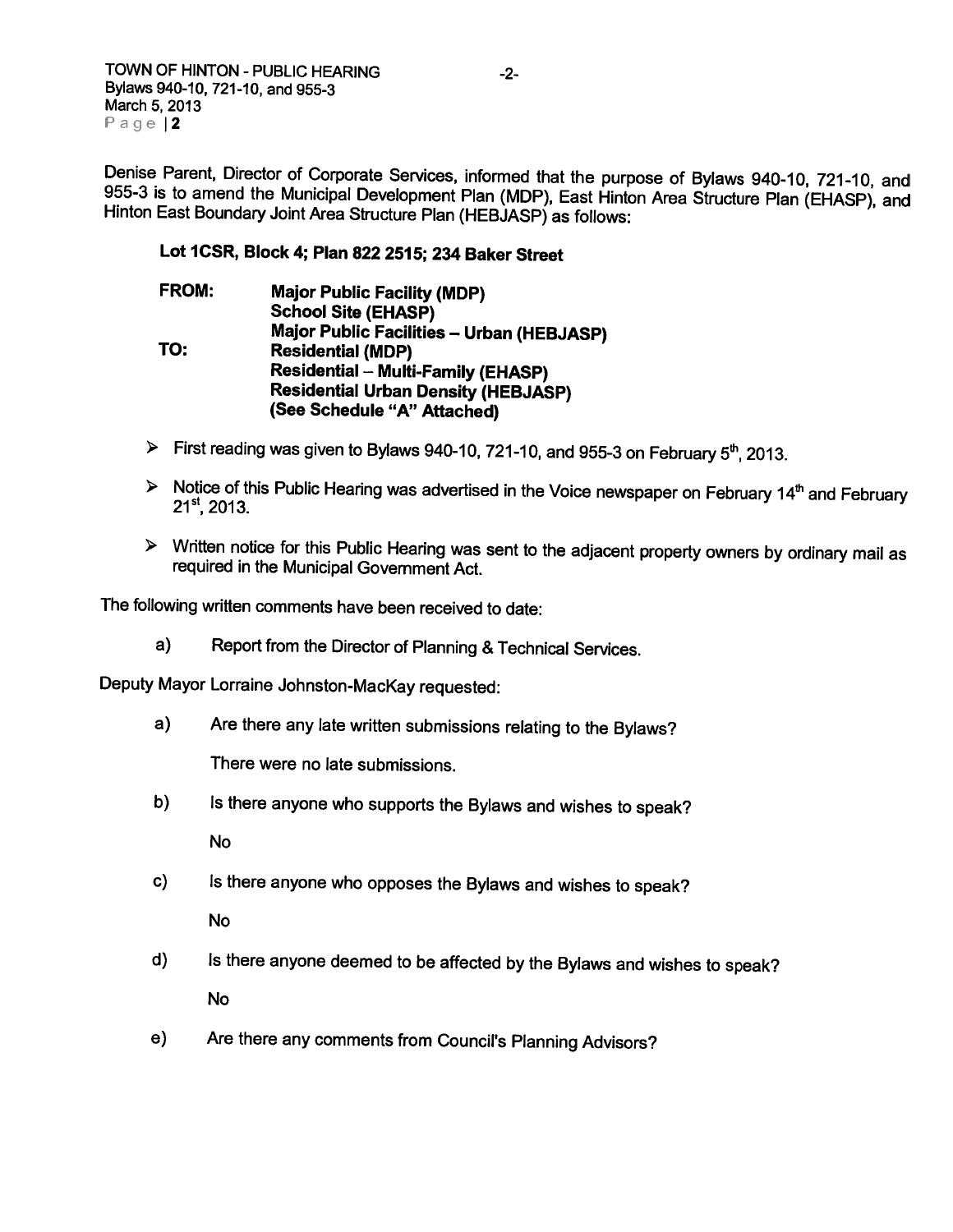TOWN OF HINTON - PUBLIC HEARING  $-2$ -Bylaws 940-10, 721-10, and 955-3 March 5, 2013 Page |2

Denise Parent, Director of Corporate Services, informed that the purpose of Bylaws 940-10, 721-10, and<br>955-3 is to amend the Municipal Development Plan (MDP), East Hinton Area Structure Plan (EHASP), and<br>Hinton East Bounda

## Lot ICSR, Block 4; Plan 822 2515; 234 Baker Street

- FROM: Major Public Facility (MDP) School Site (EHASP) Major Public Facilities — Urban (HEBJASP) TO: Residential (MDP) Residential — Multi-Family (EHASP) Residential Urban Density (HEBJASP) (See Schedule "A" Attached)
- $\triangleright$  First reading was given to Bylaws 940-10, 721-10, and 955-3 on February 5<sup>th</sup>, 2013.
- $\triangleright$  Notice of this Public Hearing was advertised in the Voice newspaper on February 14<sup>th</sup> and February 21<sup>st</sup>, 2013.
- <sup>&</sup>gt; Written notice for this Public Hearing was sent to the adjacent property owners by ordinary mail as required in the Municipal Government Act.

The following written comments have been received to date:

a) Report from the Director of Planning & Technical Services.

Deputy Mayor Lorraine Johnston-Mackay requested:

a) Are there any late written submissions relating to the Bylaws?

There were no late submissions.

b) Is there anyone who supports the Bylaws and wishes to speak?

No

c) Is there anyone who opposes the Bylaws and wishes to speak?

No

- d) Is there anyone deemed to be affected by the Bylaws and wishes to speak? No
- e) Are there any comments from Council's Planning Advisors?